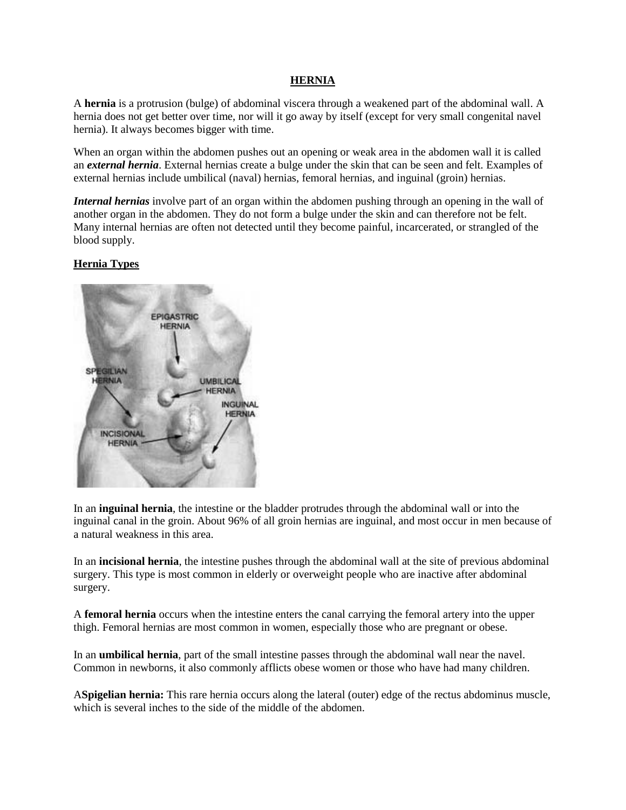#### **HERNIA**

A **hernia** is a protrusion (bulge) of abdominal viscera through a weakened part of the abdominal wall. A hernia does not get better over time, nor will it go away by itself (except for very small congenital navel hernia). It always becomes bigger with time.

When an organ within the abdomen pushes out an opening or weak area in the abdomen wall it is called an *external hernia*. External hernias create a bulge under the skin that can be seen and felt. Examples of external hernias include umbilical (naval) hernias, femoral hernias, and inguinal (groin) hernias.

*Internal hernias* involve part of an organ within the abdomen pushing through an opening in the wall of another organ in the abdomen. They do not form a bulge under the skin and can therefore not be felt. Many internal hernias are often not detected until they become painful, incarcerated, or strangled of the blood supply.

### **Hernia Types**



In an **[inguinal hernia](http://www.webmd.com/digestive-disorders/tc/inguinal-hernia-topic-overview)**, the intestine or the [bladder](http://www.webmd.com/urinary-incontinence-oab/picture-of-the-bladder) protrudes through the abdominal wall or into the inguinal canal in the groin. About 96% of all groin hernias are inguinal, and most occur in men because of a natural [weakness](http://www.webmd.com/a-to-z-guides/weakness-and-fatigue-topic-overview) in this area.

In an **incisional hernia**, the intestine pushes through the abdominal wall at the site of previous abdominal surgery. This type is most common in elderly or [overweight](http://www.webmd.com/diet/am-i-obese) people who are inactive after abdominal surgery.

A **femoral hernia** occurs when the intestine enters the canal carrying the femoral [artery](http://www.webmd.com/heart/picture-of-the-arteries) into the upper thigh. Femoral hernias are most common in women, especially those who are [pregnant](http://www.webmd.com/baby/default.htm) or [obese.](http://www.webmd.com/diet/obesity/video/obesity-risks)

In an **[umbilical hernia](http://www.webmd.com/parenting/baby/tc/umbilical-hernia-in-children-topic-overview)**, part of the small intestine passes through the abdominal wall near the navel. Common in newborns, it also commonly afflicts obese women or those who have had many children.

A**Spigelian hernia:** This rare hernia occurs along the lateral (outer) edge of the rectus abdominus muscle, which is several inches to the side of the middle of the abdomen.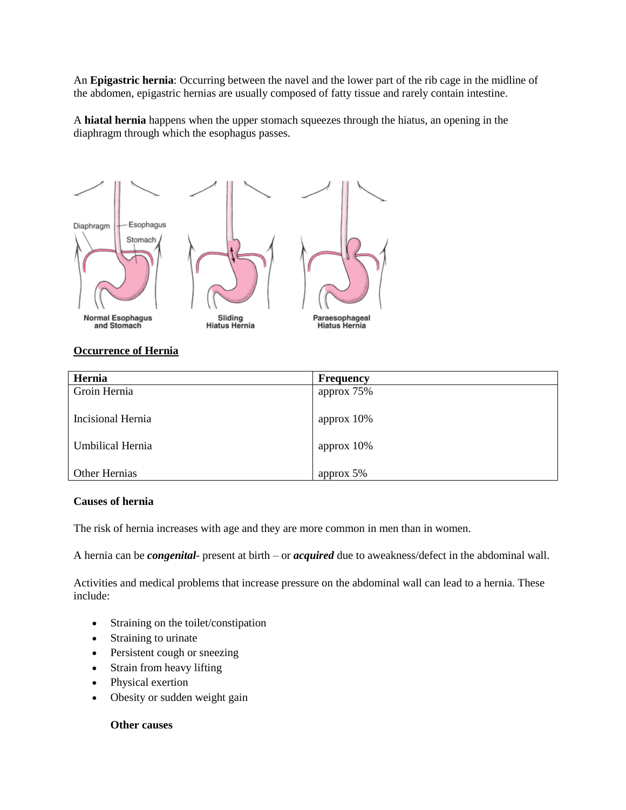An **Epigastric hernia**: Occurring between the navel and the lower part of the rib cage in the midline of the abdomen, epigastric hernias are usually composed of fatty tissue and rarely contain intestine.

A **[hiatal hernia](http://www.webmd.com/digestive-disorders/hiatal-hernia)** happens when the upper stomach squeezes through the hiatus, an opening in the diaphragm through which the [esophagus](http://www.webmd.com/digestive-disorders/picture-of-the-esophagus) passes.



### **Occurrence of Hernia**

| Hernia               | <b>Frequency</b> |
|----------------------|------------------|
| Groin Hernia         | approx $75%$     |
|                      |                  |
| Incisional Hernia    | approx $10\%$    |
|                      |                  |
| Umbilical Hernia     | approx $10\%$    |
|                      |                  |
| <b>Other Hernias</b> | approx 5%        |

## **Causes of hernia**

The risk of hernia increases with age and they are more common in men than in women.

A hernia can be *congenital*- present at birth – or *acquired* due to aweakness/defect in the abdominal wall.

Activities and medical problems that increase pressure on the abdominal wall can lead to a hernia. These include:

- Straining on the toilet/constipation
- Straining to urinate
- Persistent cough or sneezing
- Strain from heavy lifting
- Physical exertion
- Obesity or sudden weight gain

### **Other causes**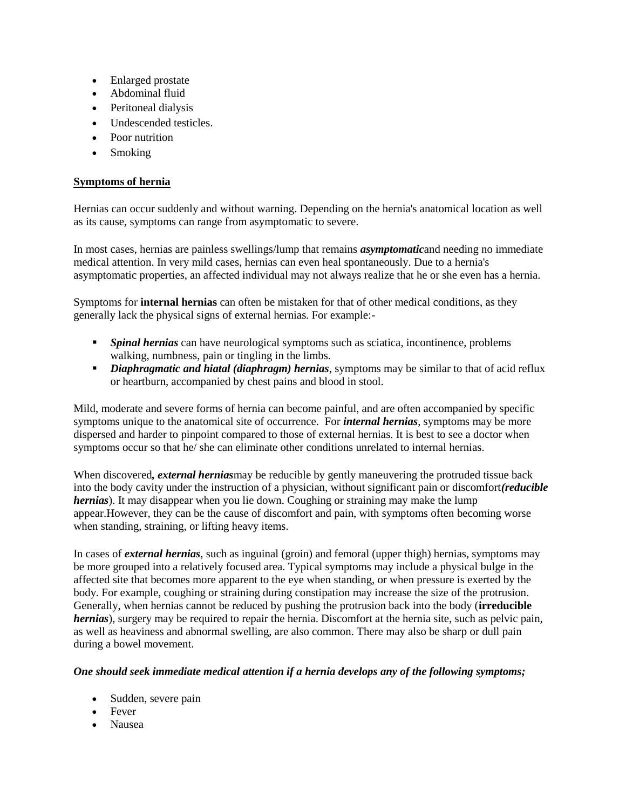- Enlarged prostate
- Abdominal fluid
- Peritoneal dialysis
- [Undescended testicles.](http://www.medicalnewstoday.com/articles/184604.php)
- Poor nutrition
- Smoking

### **Symptoms of hernia**

Hernias can occur suddenly and without warning. Depending on the hernia's anatomical location as well as its cause, symptoms can range from asymptomatic to severe.

In most cases, hernias are painless swellings/lump that remains *asymptomatic*and needing no immediate medical attention. In very mild cases, hernias can even heal spontaneously. Due to a hernia's asymptomatic properties, an affected individual may not always realize that he or she even has a hernia.

Symptoms for **internal hernias** can often be mistaken for that of other medical conditions, as they generally lack the physical signs of external hernias. For example:-

- *Spinal hernias* can have neurological symptoms such as sciatica, incontinence, problems walking, numbness, pain or tingling in the limbs.
- **Diaphragmatic and hiatal (diaphragm) hernias**, symptoms may be similar to that of acid reflux or heartburn, accompanied by chest pains and blood in stool.

Mild, moderate and severe forms of hernia can become painful, and are often accompanied by specific symptoms unique to the anatomical site of occurrence. For *internal hernias*, symptoms may be more dispersed and harder to pinpoint compared to those of external hernias. It is best to see a doctor when symptoms occur so that he/ she can eliminate other conditions unrelated to internal hernias.

When discovered*, external hernias*may be reducible by gently maneuvering the protruded tissue back into the body cavity under the instruction of a physician, without significant pain or discomfort*(reducible hernias*). It may disappear when you lie down. Coughing or straining may make the lump appear.However, they can be the cause of discomfort and pain, with symptoms often becoming worse when standing, straining, or lifting heavy items.

In cases of *external hernias*, such as inguinal (groin) and femoral (upper thigh) hernias, symptoms may be more grouped into a relatively focused area. Typical symptoms may include a physical bulge in the affected site that becomes more apparent to the eye when standing, or when pressure is exerted by the body. For example, coughing or straining during constipation may increase the size of the protrusion. Generally, when hernias cannot be reduced by pushing the protrusion back into the body (**irreducible** *hernias*), surgery may be required to repair the hernia. Discomfort at the hernia site, such as pelvic pain, as well as heaviness and abnormal swelling, are also common. There may also be sharp or dull pain during a bowel movement.

### *One should seek immediate medical attention if a hernia develops any of the following symptoms;*

- Sudden, severe pain
- Fever
- Nausea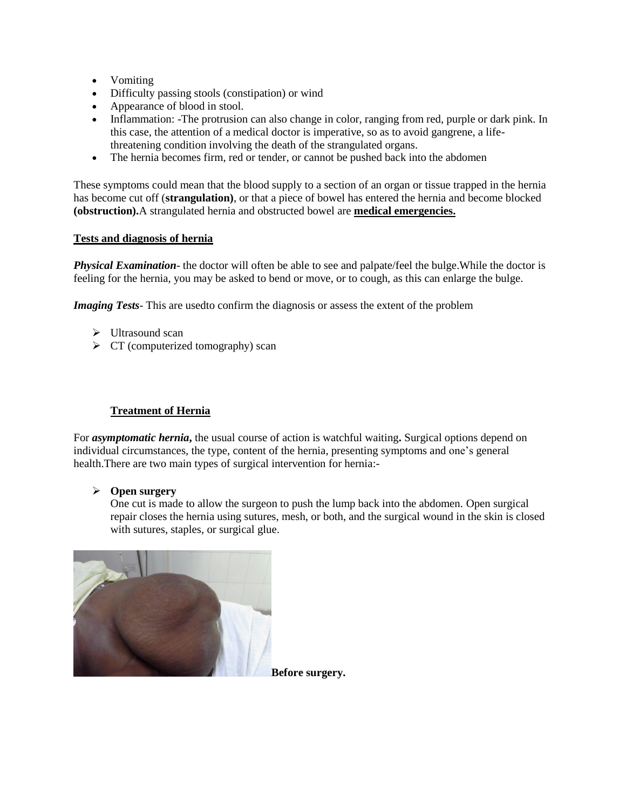- Vomiting
- Difficulty passing stools [\(constipation\)](http://www.nhs.uk/Conditions/constipation/Pages/Introduction.aspx) or wind
- Appearance of blood in stool.
- Inflammation: -The protrusion can also change in color, ranging from red, purple or dark pink. In this case, the attention of a medical doctor is imperative, so as to avoid gangrene, a lifethreatening condition involving the death of the strangulated organs.
- The hernia becomes firm, red or tender, or cannot be pushed back into the abdomen

These symptoms could mean that the blood supply to a section of an organ or tissue trapped in the hernia has become cut off (**strangulation)**, or that a piece of bowel has entered the hernia and become blocked **(obstruction).**A strangulated hernia and obstructed bowel are **medical emergencies.**

### **Tests and diagnosis of hernia**

*Physical Examination*- the doctor will often be able to see and palpate/feel the bulge.While the doctor is feeling for the hernia, you may be asked to bend or move, or to cough, as this can enlarge the bulge.

*Imaging Tests*- This are usedto confirm the diagnosis or assess the extent of the problem

- $\triangleright$  [Ultrasound](http://www.medicalnewstoday.com/articles/245491.php) scan
- $\triangleright$  CT (computerized tomography) scan

# **Treatment of Hernia**

For *asymptomatic hernia***,** the usual course of action is watchful waiting**.** Surgical options depend on individual circumstances, the type, content of the hernia, presenting symptoms and one's general health.There are two main types of surgical intervention for hernia:-

### **Open surgery**

One cut is made to allow the surgeon to push the lump back into the abdomen. Open surgical repair closes the hernia using sutures, mesh, or both, and the surgical wound in the skin is closed with sutures, staples, or surgical glue.



**Before surgery.**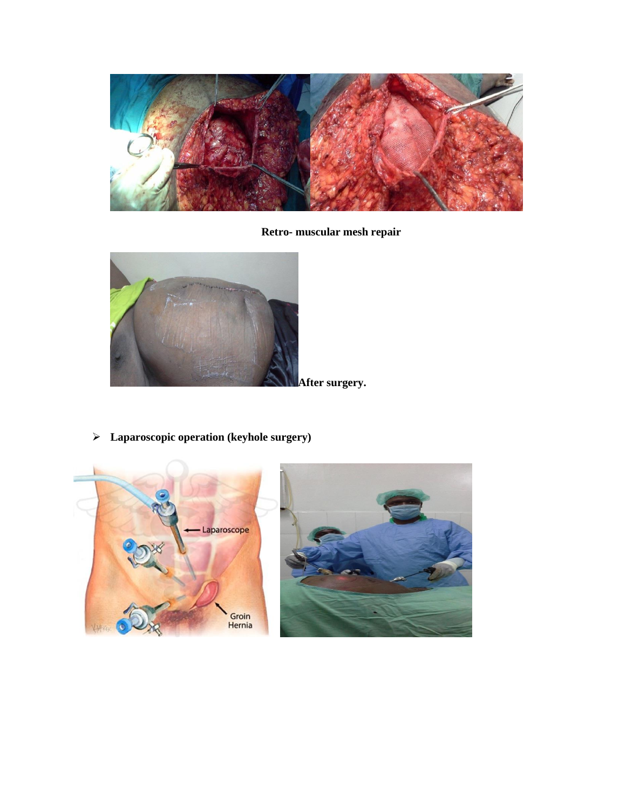

**Retro- muscular mesh repair**



**Laparoscopic operation (keyhole surgery)**

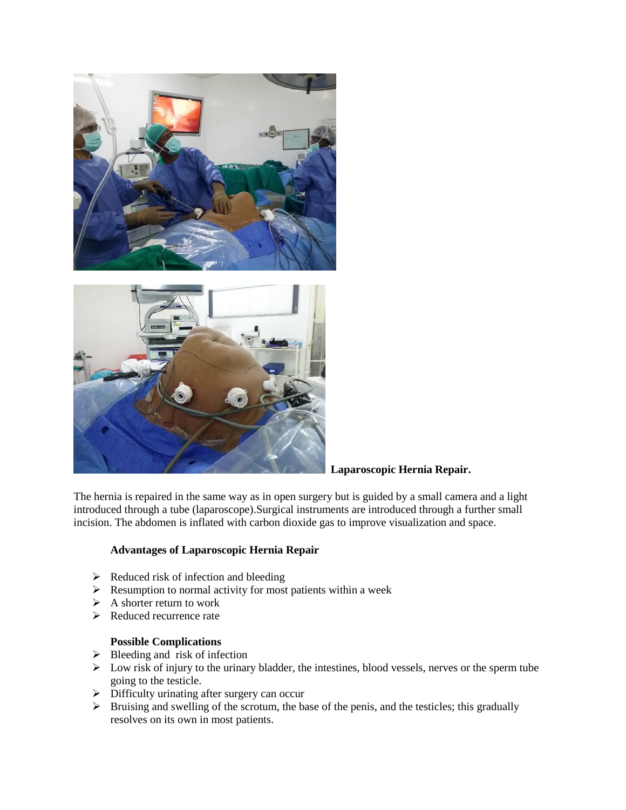



### **Laparoscopic Hernia Repair.**

The hernia is repaired in the same way as in open surgery but is guided by a small camera and a light introduced through a tube (laparoscope).Surgical instruments are introduced through a further small incision. The abdomen is inflated with carbon dioxide gas to improve visualization and space.

### **Advantages of Laparoscopic Hernia Repair**

- $\triangleright$  Reduced risk of infection and bleeding
- $\triangleright$  Resumption to normal activity for most patients within a week
- $\triangleright$  A shorter return to work
- $\triangleright$  Reduced recurrence rate

## **Possible Complications**

- $\triangleright$  Bleeding and risk of infection
- $\triangleright$  Low risk of injury to the urinary bladder, the intestines, blood vessels, nerves or the sperm tube going to the testicle.
- $\triangleright$  Difficulty urinating after surgery can occur
- $\triangleright$  Bruising and swelling of the scrotum, the base of the penis, and the testicles; this gradually resolves on its own in most patients.